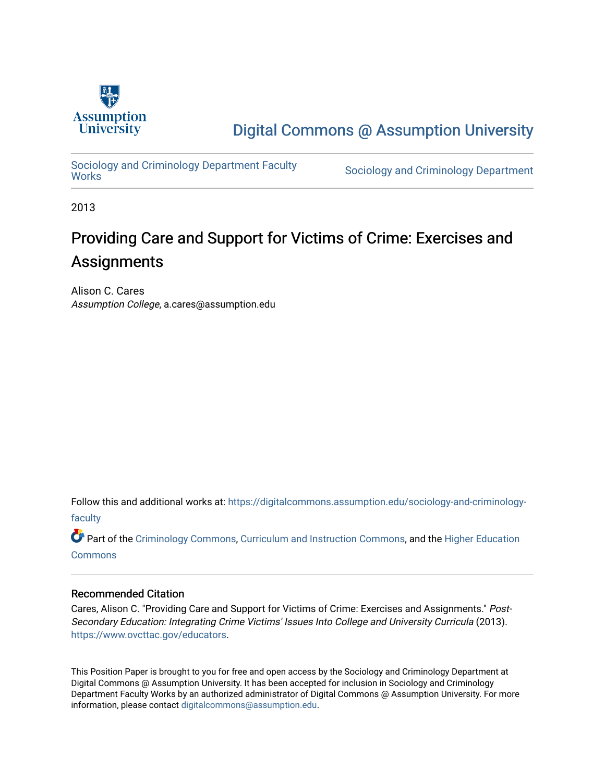

[Digital Commons @ Assumption University](https://digitalcommons.assumption.edu/) 

Sociology and Criminology Department Faculty<br>Works

Sociology and Criminology Department

2013

# Providing Care and Support for Victims of Crime: Exercises and Assignments

Alison C. Cares Assumption College, a.cares@assumption.edu

Follow this and additional works at: [https://digitalcommons.assumption.edu/sociology-and-criminology](https://digitalcommons.assumption.edu/sociology-and-criminology-faculty?utm_source=digitalcommons.assumption.edu%2Fsociology-and-criminology-faculty%2F8&utm_medium=PDF&utm_campaign=PDFCoverPages)[faculty](https://digitalcommons.assumption.edu/sociology-and-criminology-faculty?utm_source=digitalcommons.assumption.edu%2Fsociology-and-criminology-faculty%2F8&utm_medium=PDF&utm_campaign=PDFCoverPages)

Part of the [Criminology Commons](http://network.bepress.com/hgg/discipline/417?utm_source=digitalcommons.assumption.edu%2Fsociology-and-criminology-faculty%2F8&utm_medium=PDF&utm_campaign=PDFCoverPages), [Curriculum and Instruction Commons,](http://network.bepress.com/hgg/discipline/786?utm_source=digitalcommons.assumption.edu%2Fsociology-and-criminology-faculty%2F8&utm_medium=PDF&utm_campaign=PDFCoverPages) and the [Higher Education](http://network.bepress.com/hgg/discipline/1245?utm_source=digitalcommons.assumption.edu%2Fsociology-and-criminology-faculty%2F8&utm_medium=PDF&utm_campaign=PDFCoverPages) **[Commons](http://network.bepress.com/hgg/discipline/1245?utm_source=digitalcommons.assumption.edu%2Fsociology-and-criminology-faculty%2F8&utm_medium=PDF&utm_campaign=PDFCoverPages)** 

#### Recommended Citation

Cares, Alison C. "Providing Care and Support for Victims of Crime: Exercises and Assignments." Post-Secondary Education: Integrating Crime Victims' Issues Into College and University Curricula (2013). [https://www.ovcttac.gov/educators](https://www.ovcttac.gov/EDUCATORS/).

This Position Paper is brought to you for free and open access by the Sociology and Criminology Department at Digital Commons @ Assumption University. It has been accepted for inclusion in Sociology and Criminology Department Faculty Works by an authorized administrator of Digital Commons @ Assumption University. For more information, please contact [digitalcommons@assumption.edu.](mailto:digitalcommons@assumption.edu)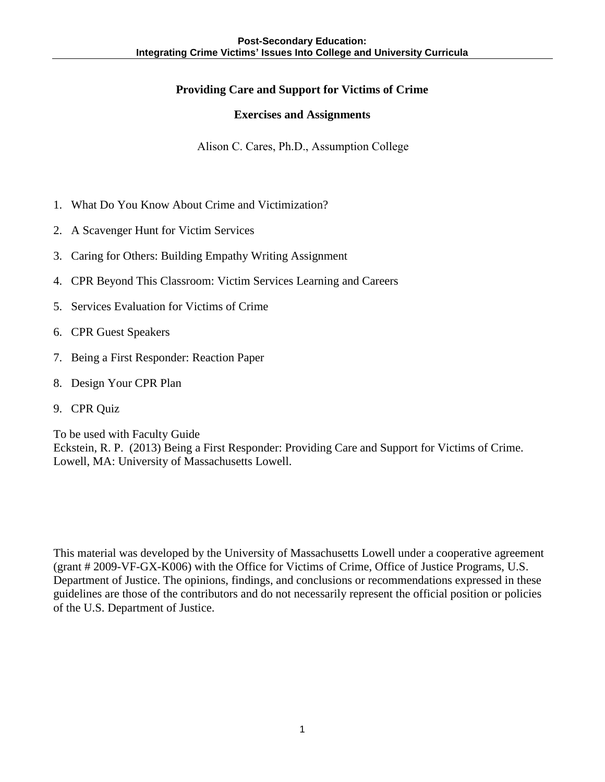### **Providing Care and Support for Victims of Crime**

#### **Exercises and Assignments**

Alison C. Cares, Ph.D., Assumption College

- 1. What Do You Know About Crime and Victimization?
- 2. A Scavenger Hunt for Victim Services
- 3. Caring for Others: Building Empathy Writing Assignment
- 4. CPR Beyond This Classroom: Victim Services Learning and Careers
- 5. Services Evaluation for Victims of Crime
- 6. CPR Guest Speakers
- 7. Being a First Responder: Reaction Paper
- 8. Design Your CPR Plan
- 9. CPR Quiz

To be used with Faculty Guide Eckstein, R. P. (2013) Being a First Responder: Providing Care and Support for Victims of Crime. Lowell, MA: University of Massachusetts Lowell.

This material was developed by the University of Massachusetts Lowell under a cooperative agreement (grant # 2009-VF-GX-K006) with the Office for Victims of Crime, Office of Justice Programs, U.S. Department of Justice. The opinions, findings, and conclusions or recommendations expressed in these guidelines are those of the contributors and do not necessarily represent the official position or policies of the U.S. Department of Justice.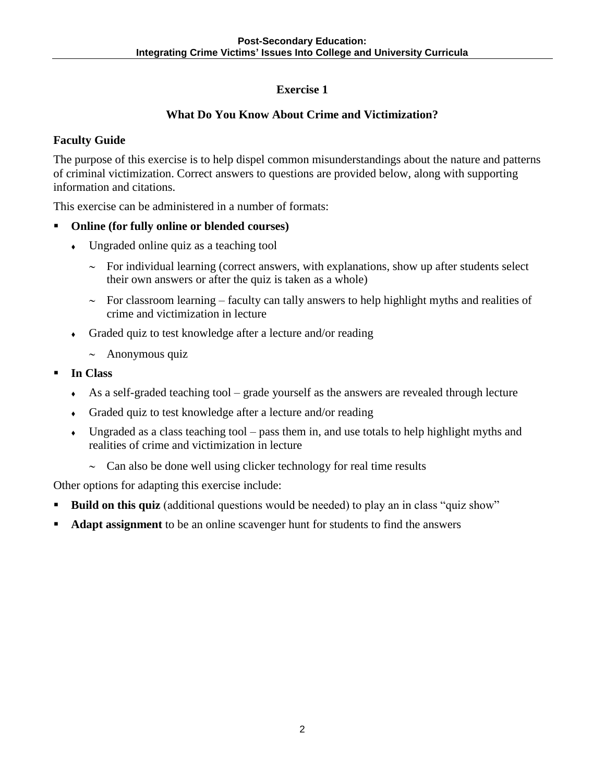### **What Do You Know About Crime and Victimization?**

### **Faculty Guide**

The purpose of this exercise is to help dispel common misunderstandings about the nature and patterns of criminal victimization. Correct answers to questions are provided below, along with supporting information and citations.

This exercise can be administered in a number of formats:

#### **Online (for fully online or blended courses)**

- Ungraded online quiz as a teaching tool
	- $\sim$  For individual learning (correct answers, with explanations, show up after students select their own answers or after the quiz is taken as a whole)
	- $\sim$  For classroom learning faculty can tally answers to help highlight myths and realities of crime and victimization in lecture
- Graded quiz to test knowledge after a lecture and/or reading
	- $\sim$  Anonymous quiz
- **In Class**
	- As a self-graded teaching tool grade yourself as the answers are revealed through lecture
	- Graded quiz to test knowledge after a lecture and/or reading
	- $\bullet$  Ungraded as a class teaching tool pass them in, and use totals to help highlight myths and realities of crime and victimization in lecture
		- $\sim$  Can also be done well using clicker technology for real time results

Other options for adapting this exercise include:

- **Build on this quiz** (additional questions would be needed) to play an in class "quiz show"
- **Adapt assignment** to be an online scavenger hunt for students to find the answers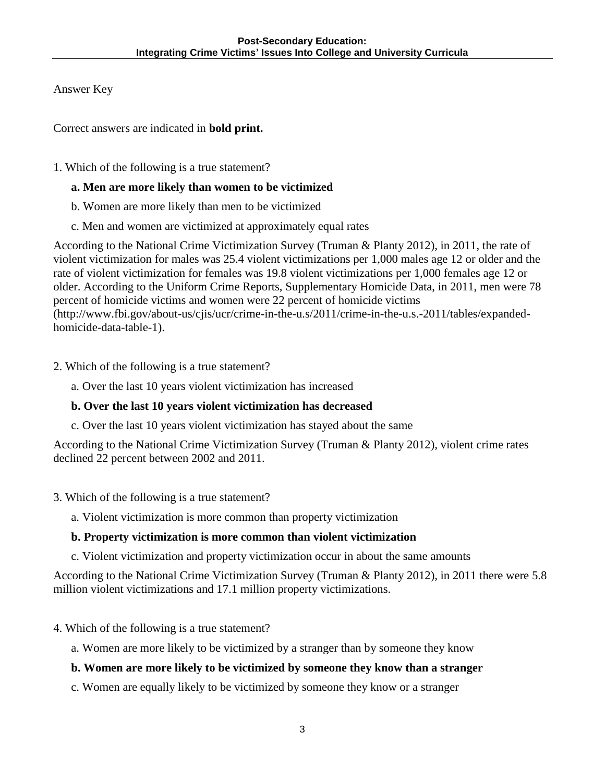Answer Key

Correct answers are indicated in **bold print.** 

1. Which of the following is a true statement?

### **a. Men are more likely than women to be victimized**

- b. Women are more likely than men to be victimized
- c. Men and women are victimized at approximately equal rates

According to the National Crime Victimization Survey (Truman & Planty 2012), in 2011, the rate of violent victimization for males was 25.4 violent victimizations per 1,000 males age 12 or older and the rate of violent victimization for females was 19.8 violent victimizations per 1,000 females age 12 or older. According to the Uniform Crime Reports, Supplementary Homicide Data, in 2011, men were 78 percent of homicide victims and women were 22 percent of homicide victims (http://www.fbi.gov/about-us/cjis/ucr/crime-in-the-u.s/2011/crime-in-the-u.s.-2011/tables/expandedhomicide-data-table-1).

- 2. Which of the following is a true statement?
	- a. Over the last 10 years violent victimization has increased

### **b. Over the last 10 years violent victimization has decreased**

c. Over the last 10 years violent victimization has stayed about the same

According to the National Crime Victimization Survey (Truman & Planty 2012), violent crime rates declined 22 percent between 2002 and 2011.

- 3. Which of the following is a true statement?
	- a. Violent victimization is more common than property victimization

### **b. Property victimization is more common than violent victimization**

c. Violent victimization and property victimization occur in about the same amounts

According to the National Crime Victimization Survey (Truman & Planty 2012), in 2011 there were 5.8 million violent victimizations and 17.1 million property victimizations.

- 4. Which of the following is a true statement?
	- a. Women are more likely to be victimized by a stranger than by someone they know

### **b. Women are more likely to be victimized by someone they know than a stranger**

c. Women are equally likely to be victimized by someone they know or a stranger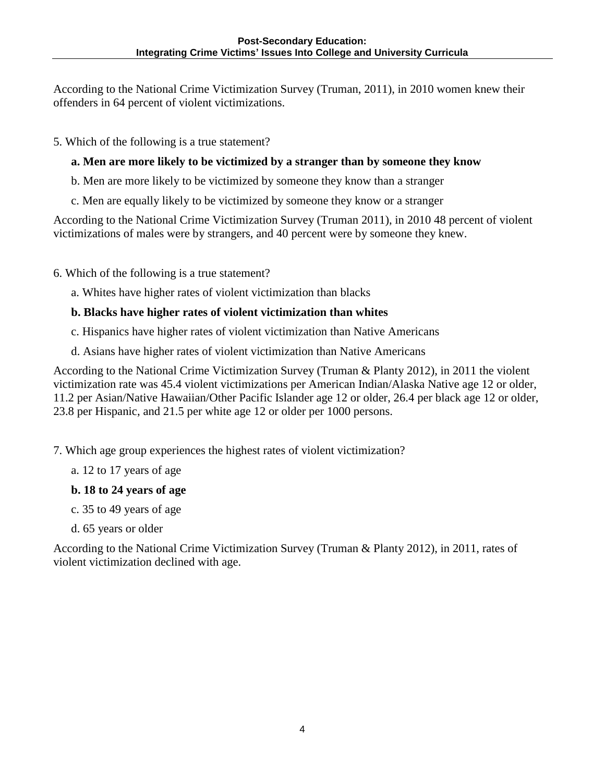According to the National Crime Victimization Survey (Truman, 2011), in 2010 women knew their offenders in 64 percent of violent victimizations.

5. Which of the following is a true statement?

### **a. Men are more likely to be victimized by a stranger than by someone they know**

- b. Men are more likely to be victimized by someone they know than a stranger
- c. Men are equally likely to be victimized by someone they know or a stranger

According to the National Crime Victimization Survey (Truman 2011), in 2010 48 percent of violent victimizations of males were by strangers, and 40 percent were by someone they knew.

- 6. Which of the following is a true statement?
	- a. Whites have higher rates of violent victimization than blacks

#### **b. Blacks have higher rates of violent victimization than whites**

- c. Hispanics have higher rates of violent victimization than Native Americans
- d. Asians have higher rates of violent victimization than Native Americans

According to the National Crime Victimization Survey (Truman & Planty 2012), in 2011 the violent victimization rate was 45.4 violent victimizations per American Indian/Alaska Native age 12 or older, 11.2 per Asian/Native Hawaiian/Other Pacific Islander age 12 or older, 26.4 per black age 12 or older, 23.8 per Hispanic, and 21.5 per white age 12 or older per 1000 persons.

- 7. Which age group experiences the highest rates of violent victimization?
	- a. 12 to 17 years of age

#### **b. 18 to 24 years of age**

- c. 35 to 49 years of age
- d. 65 years or older

According to the National Crime Victimization Survey (Truman & Planty 2012), in 2011, rates of violent victimization declined with age.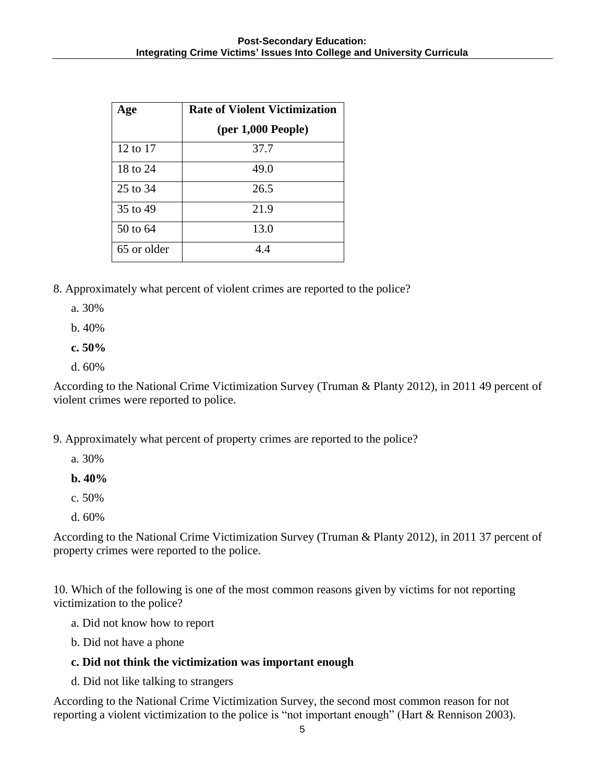| Age         | <b>Rate of Violent Victimization</b> |
|-------------|--------------------------------------|
|             | (per 1,000 People)                   |
| 12 to 17    | 37.7                                 |
| 18 to 24    | 49.0                                 |
| 25 to 34    | 26.5                                 |
| 35 to 49    | 21.9                                 |
| 50 to 64    | 13.0                                 |
| 65 or older | 44                                   |

- 8. Approximately what percent of violent crimes are reported to the police?
	- a. 30%
	- b. 40%
	- **c. 50%**
	- d. 60%

According to the National Crime Victimization Survey (Truman & Planty 2012), in 2011 49 percent of violent crimes were reported to police.

- 9. Approximately what percent of property crimes are reported to the police?
	- a. 30%
	- **b. 40%**
	- c. 50%
	- d. 60%

According to the National Crime Victimization Survey (Truman & Planty 2012), in 2011 37 percent of property crimes were reported to the police.

10. Which of the following is one of the most common reasons given by victims for not reporting victimization to the police?

- a. Did not know how to report
- b. Did not have a phone

#### **c. Did not think the victimization was important enough**

d. Did not like talking to strangers

According to the National Crime Victimization Survey, the second most common reason for not reporting a violent victimization to the police is "not important enough" (Hart & Rennison 2003).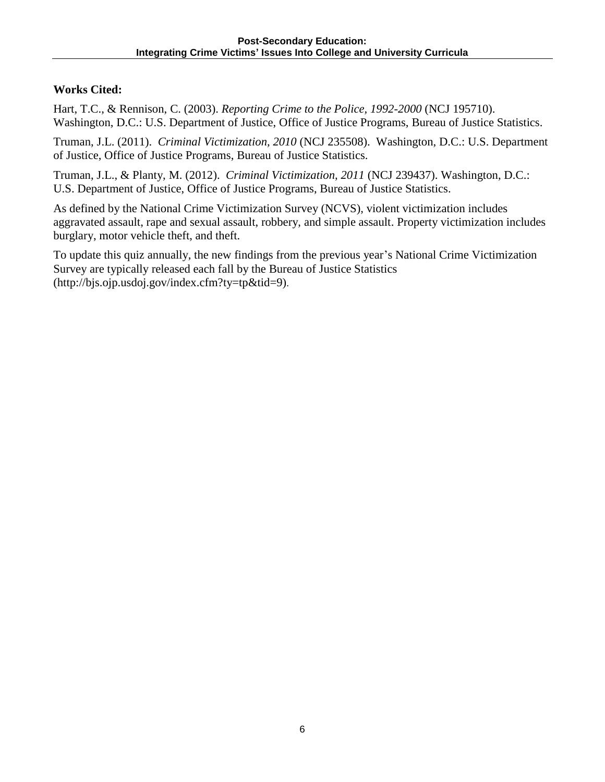### **Works Cited:**

Hart, T.C., & Rennison, C. (2003). *Reporting Crime to the Police, 1992-2000* (NCJ 195710). Washington, D.C.: U.S. Department of Justice, Office of Justice Programs, Bureau of Justice Statistics.

Truman, J.L. (2011). *Criminal Victimization, 2010* (NCJ 235508). Washington, D.C.: U.S. Department of Justice, Office of Justice Programs, Bureau of Justice Statistics.

Truman, J.L., & Planty, M. (2012). *Criminal Victimization, 2011* (NCJ 239437). Washington, D.C.: U.S. Department of Justice, Office of Justice Programs, Bureau of Justice Statistics.

As defined by the National Crime Victimization Survey (NCVS), violent victimization includes aggravated assault, rape and sexual assault, robbery, and simple assault. Property victimization includes burglary, motor vehicle theft, and theft.

To update this quiz annually, the new findings from the previous year's National Crime Victimization Survey are typically released each fall by the Bureau of Justice Statistics (http://bjs.ojp.usdoj.gov/index.cfm?ty=tp&tid=9).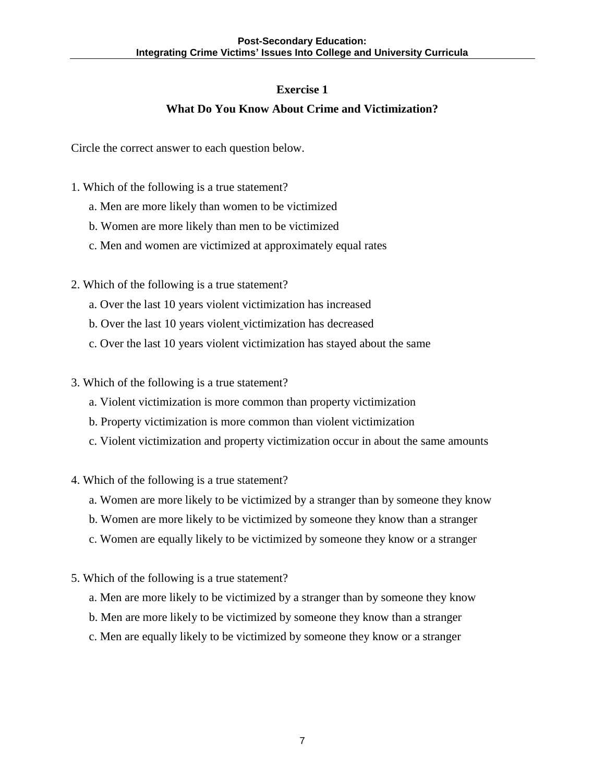### **What Do You Know About Crime and Victimization?**

Circle the correct answer to each question below.

- 1. Which of the following is a true statement?
	- a. Men are more likely than women to be victimized
	- b. Women are more likely than men to be victimized
	- c. Men and women are victimized at approximately equal rates
- 2. Which of the following is a true statement?
	- a. Over the last 10 years violent victimization has increased
	- b. Over the last 10 years violent victimization has decreased
	- c. Over the last 10 years violent victimization has stayed about the same
- 3. Which of the following is a true statement?
	- a. Violent victimization is more common than property victimization
	- b. Property victimization is more common than violent victimization
	- c. Violent victimization and property victimization occur in about the same amounts
- 4. Which of the following is a true statement?
	- a. Women are more likely to be victimized by a stranger than by someone they know
	- b. Women are more likely to be victimized by someone they know than a stranger
	- c. Women are equally likely to be victimized by someone they know or a stranger
- 5. Which of the following is a true statement?
	- a. Men are more likely to be victimized by a stranger than by someone they know
	- b. Men are more likely to be victimized by someone they know than a stranger
	- c. Men are equally likely to be victimized by someone they know or a stranger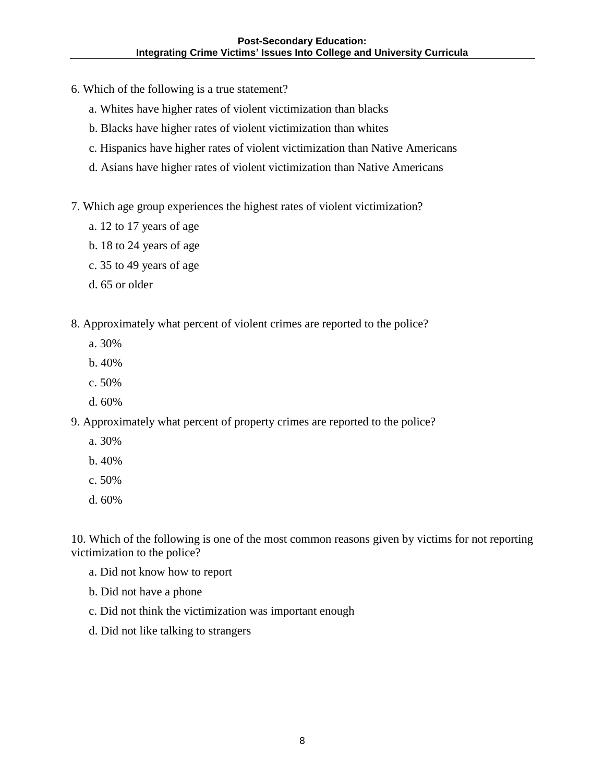- 6. Which of the following is a true statement?
	- a. Whites have higher rates of violent victimization than blacks
	- b. Blacks have higher rates of violent victimization than whites
	- c. Hispanics have higher rates of violent victimization than Native Americans
	- d. Asians have higher rates of violent victimization than Native Americans
- 7. Which age group experiences the highest rates of violent victimization?
	- a. 12 to 17 years of age
	- b. 18 to 24 years of age
	- c. 35 to 49 years of age
	- d. 65 or older
- 8. Approximately what percent of violent crimes are reported to the police?
	- a. 30%
	- b. 40%
	- c. 50%
	- d. 60%

9. Approximately what percent of property crimes are reported to the police?

- a. 30%
- b. 40%
- c. 50%
- d. 60%

10. Which of the following is one of the most common reasons given by victims for not reporting victimization to the police?

- a. Did not know how to report
- b. Did not have a phone
- c. Did not think the victimization was important enough
- d. Did not like talking to strangers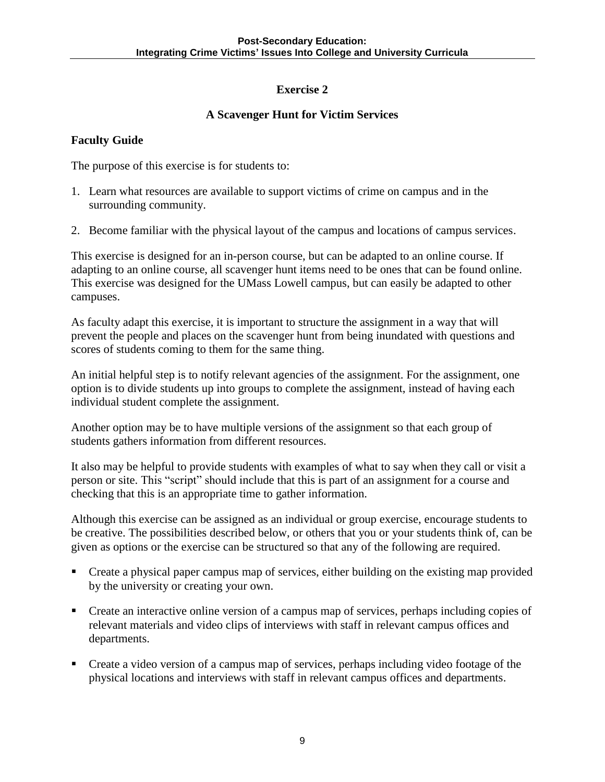### **A Scavenger Hunt for Victim Services**

### **Faculty Guide**

The purpose of this exercise is for students to:

- 1. Learn what resources are available to support victims of crime on campus and in the surrounding community.
- 2. Become familiar with the physical layout of the campus and locations of campus services.

This exercise is designed for an in-person course, but can be adapted to an online course. If adapting to an online course, all scavenger hunt items need to be ones that can be found online. This exercise was designed for the UMass Lowell campus, but can easily be adapted to other campuses.

As faculty adapt this exercise, it is important to structure the assignment in a way that will prevent the people and places on the scavenger hunt from being inundated with questions and scores of students coming to them for the same thing.

An initial helpful step is to notify relevant agencies of the assignment. For the assignment, one option is to divide students up into groups to complete the assignment, instead of having each individual student complete the assignment.

Another option may be to have multiple versions of the assignment so that each group of students gathers information from different resources.

It also may be helpful to provide students with examples of what to say when they call or visit a person or site. This "script" should include that this is part of an assignment for a course and checking that this is an appropriate time to gather information.

Although this exercise can be assigned as an individual or group exercise, encourage students to be creative. The possibilities described below, or others that you or your students think of, can be given as options or the exercise can be structured so that any of the following are required.

- Create a physical paper campus map of services, either building on the existing map provided by the university or creating your own.
- Create an interactive online version of a campus map of services, perhaps including copies of relevant materials and video clips of interviews with staff in relevant campus offices and departments.
- Create a video version of a campus map of services, perhaps including video footage of the physical locations and interviews with staff in relevant campus offices and departments.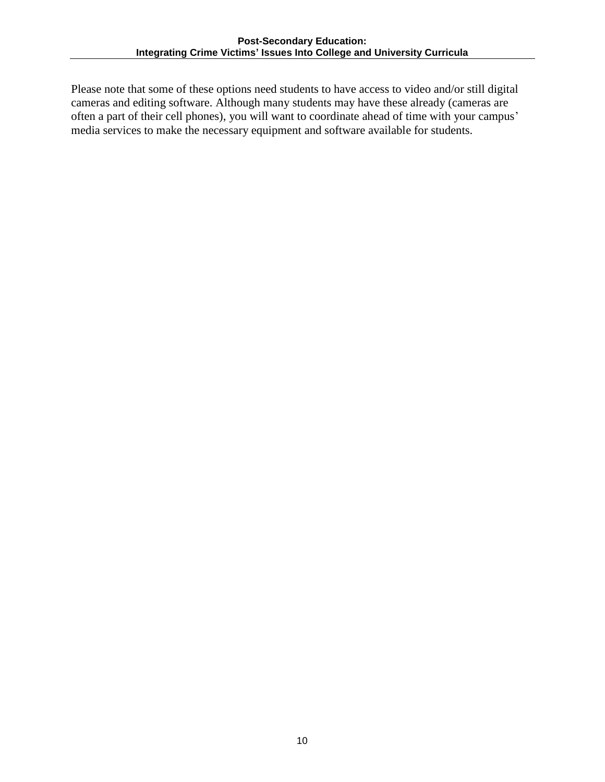Please note that some of these options need students to have access to video and/or still digital cameras and editing software. Although many students may have these already (cameras are often a part of their cell phones), you will want to coordinate ahead of time with your campus' media services to make the necessary equipment and software available for students.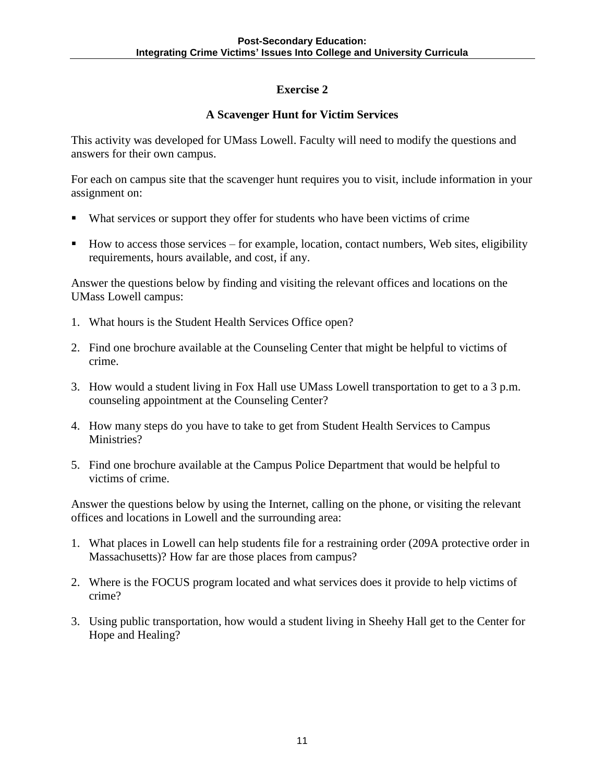### **A Scavenger Hunt for Victim Services**

This activity was developed for UMass Lowell. Faculty will need to modify the questions and answers for their own campus.

For each on campus site that the scavenger hunt requires you to visit, include information in your assignment on:

- What services or support they offer for students who have been victims of crime
- How to access those services for example, location, contact numbers, Web sites, eligibility requirements, hours available, and cost, if any.

Answer the questions below by finding and visiting the relevant offices and locations on the UMass Lowell campus:

- 1. What hours is the Student Health Services Office open?
- 2. Find one brochure available at the Counseling Center that might be helpful to victims of crime.
- 3. How would a student living in Fox Hall use UMass Lowell transportation to get to a 3 p.m. counseling appointment at the Counseling Center?
- 4. How many steps do you have to take to get from Student Health Services to Campus Ministries?
- 5. Find one brochure available at the Campus Police Department that would be helpful to victims of crime.

Answer the questions below by using the Internet, calling on the phone, or visiting the relevant offices and locations in Lowell and the surrounding area:

- 1. What places in Lowell can help students file for a restraining order (209A protective order in Massachusetts)? How far are those places from campus?
- 2. Where is the FOCUS program located and what services does it provide to help victims of crime?
- 3. Using public transportation, how would a student living in Sheehy Hall get to the Center for Hope and Healing?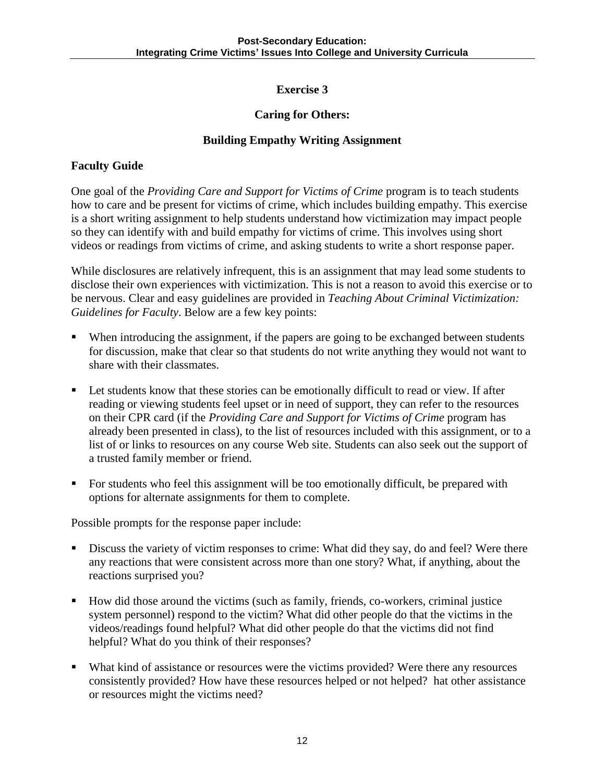### **Caring for Others:**

### **Building Empathy Writing Assignment**

### **Faculty Guide**

One goal of the *Providing Care and Support for Victims of Crime* program is to teach students how to care and be present for victims of crime, which includes building empathy. This exercise is a short writing assignment to help students understand how victimization may impact people so they can identify with and build empathy for victims of crime. This involves using short videos or readings from victims of crime, and asking students to write a short response paper.

While disclosures are relatively infrequent, this is an assignment that may lead some students to disclose their own experiences with victimization. This is not a reason to avoid this exercise or to be nervous. Clear and easy guidelines are provided in *Teaching About Criminal Victimization: Guidelines for Faculty*. Below are a few key points:

- When introducing the assignment, if the papers are going to be exchanged between students for discussion, make that clear so that students do not write anything they would not want to share with their classmates.
- Let students know that these stories can be emotionally difficult to read or view. If after reading or viewing students feel upset or in need of support, they can refer to the resources on their CPR card (if the *Providing Care and Support for Victims of Crime* program has already been presented in class), to the list of resources included with this assignment, or to a list of or links to resources on any course Web site. Students can also seek out the support of a trusted family member or friend.
- For students who feel this assignment will be too emotionally difficult, be prepared with options for alternate assignments for them to complete.

Possible prompts for the response paper include:

- Discuss the variety of victim responses to crime: What did they say, do and feel? Were there any reactions that were consistent across more than one story? What, if anything, about the reactions surprised you?
- How did those around the victims (such as family, friends, co-workers, criminal justice system personnel) respond to the victim? What did other people do that the victims in the videos/readings found helpful? What did other people do that the victims did not find helpful? What do you think of their responses?
- What kind of assistance or resources were the victims provided? Were there any resources consistently provided? How have these resources helped or not helped? hat other assistance or resources might the victims need?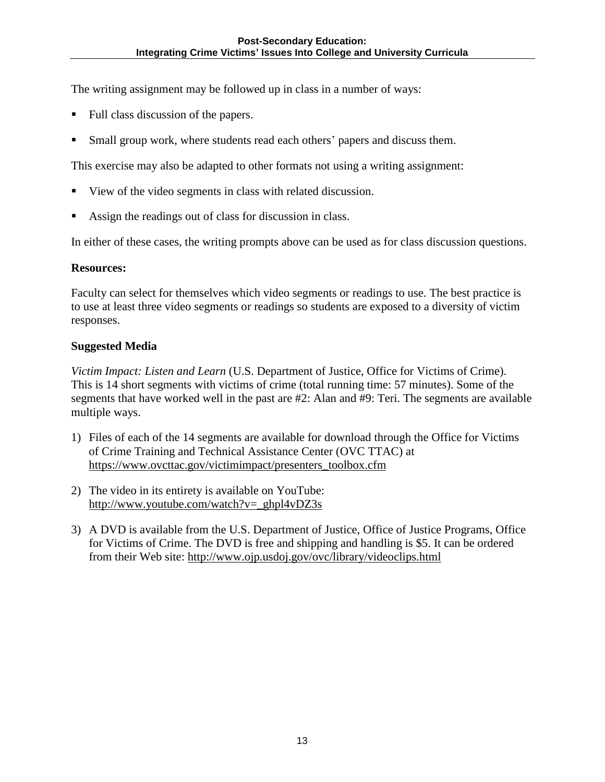The writing assignment may be followed up in class in a number of ways:

- Full class discussion of the papers.
- Small group work, where students read each others' papers and discuss them.

This exercise may also be adapted to other formats not using a writing assignment:

- View of the video segments in class with related discussion.
- Assign the readings out of class for discussion in class.

In either of these cases, the writing prompts above can be used as for class discussion questions.

#### **Resources:**

Faculty can select for themselves which video segments or readings to use. The best practice is to use at least three video segments or readings so students are exposed to a diversity of victim responses.

#### **Suggested Media**

*Victim Impact: Listen and Learn* (U.S. Department of Justice, Office for Victims of Crime). This is 14 short segments with victims of crime (total running time: 57 minutes). Some of the segments that have worked well in the past are #2: Alan and #9: Teri. The segments are available multiple ways.

- 1) Files of each of the 14 segments are available for download through the Office for Victims of Crime Training and Technical Assistance Center (OVC TTAC) at [https://www.ovcttac.gov/victimimpact/presenters\\_toolbox.cfm](https://www.ovcttac.gov/victimimpact/presenters_toolbox.cfm)
- 2) The video in its entirety is available on YouTube: [http://www.youtube.com/watch?v=\\_ghpl4vDZ3s](http://www.youtube.com/watch?v=_ghpl4vDZ3s)
- 3) A DVD is available from the U.S. Department of Justice, Office of Justice Programs, Office for Victims of Crime. The DVD is free and shipping and handling is \$5. It can be ordered from their Web site:<http://www.ojp.usdoj.gov/ovc/library/videoclips.html>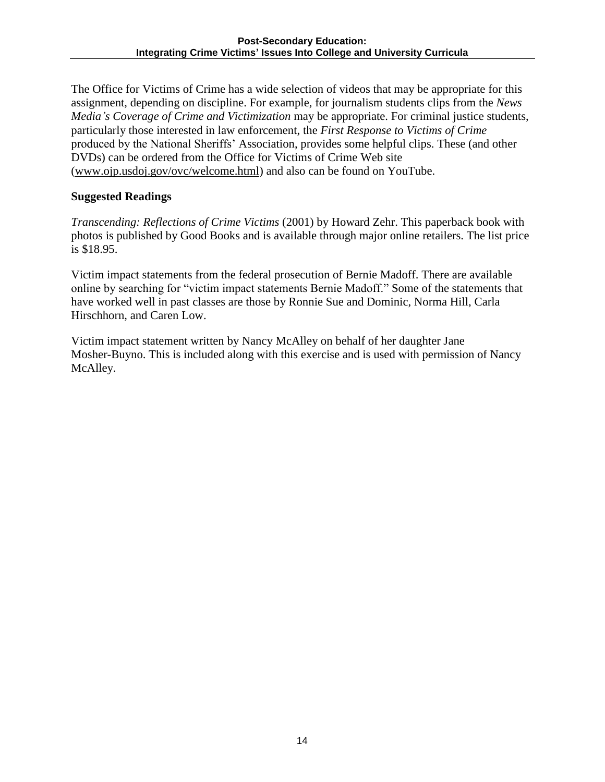The Office for Victims of Crime has a wide selection of videos that may be appropriate for this assignment, depending on discipline. For example, for journalism students clips from the *News Media's Coverage of Crime and Victimization* may be appropriate. For criminal justice students, particularly those interested in law enforcement, the *First Response to Victims of Crime* produced by the National Sheriffs' Association, provides some helpful clips. These (and other DVDs) can be ordered from the Office for Victims of Crime Web site [\(www.ojp.usdoj.gov/ovc/welcome.html\)](http://www.ojp.usdoj.gov/ovc/welcome.html) and also can be found on YouTube.

#### **Suggested Readings**

*Transcending: Reflections of Crime Victims* (2001) by Howard Zehr. This paperback book with photos is published by Good Books and is available through major online retailers. The list price is \$18.95.

Victim impact statements from the federal prosecution of Bernie Madoff. There are available online by searching for "victim impact statements Bernie Madoff." Some of the statements that have worked well in past classes are those by Ronnie Sue and Dominic, Norma Hill, Carla Hirschhorn, and Caren Low.

Victim impact statement written by Nancy McAlley on behalf of her daughter Jane Mosher-Buyno. This is included along with this exercise and is used with permission of Nancy McAlley.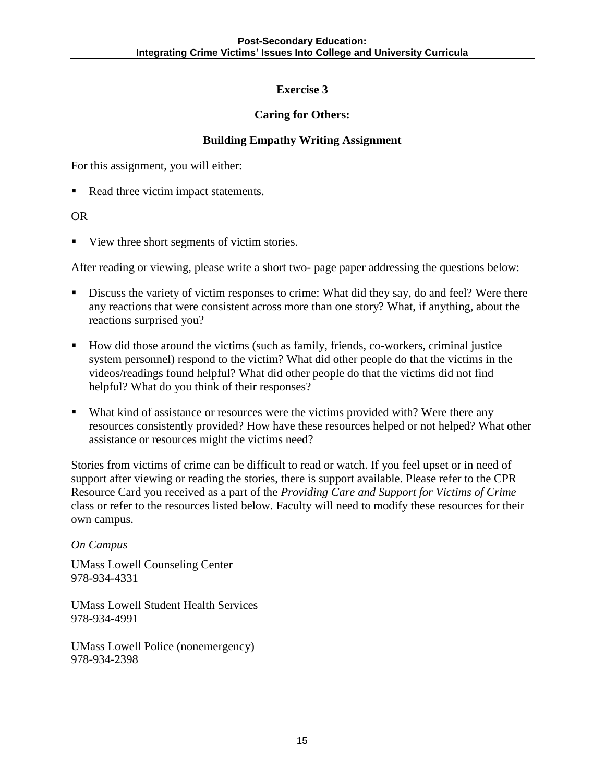#### **Caring for Others:**

#### **Building Empathy Writing Assignment**

For this assignment, you will either:

Read three victim impact statements.

#### OR

■ View three short segments of victim stories.

After reading or viewing, please write a short two- page paper addressing the questions below:

- Discuss the variety of victim responses to crime: What did they say, do and feel? Were there any reactions that were consistent across more than one story? What, if anything, about the reactions surprised you?
- How did those around the victims (such as family, friends, co-workers, criminal justice system personnel) respond to the victim? What did other people do that the victims in the videos/readings found helpful? What did other people do that the victims did not find helpful? What do you think of their responses?
- What kind of assistance or resources were the victims provided with? Were there any resources consistently provided? How have these resources helped or not helped? What other assistance or resources might the victims need?

Stories from victims of crime can be difficult to read or watch. If you feel upset or in need of support after viewing or reading the stories, there is support available. Please refer to the CPR Resource Card you received as a part of the *Providing Care and Support for Victims of Crime* class or refer to the resources listed below. Faculty will need to modify these resources for their own campus.

#### *On Campus*

UMass Lowell Counseling Center 978-934-4331

UMass Lowell Student Health Services 978-934-4991

UMass Lowell Police (nonemergency) 978-934-2398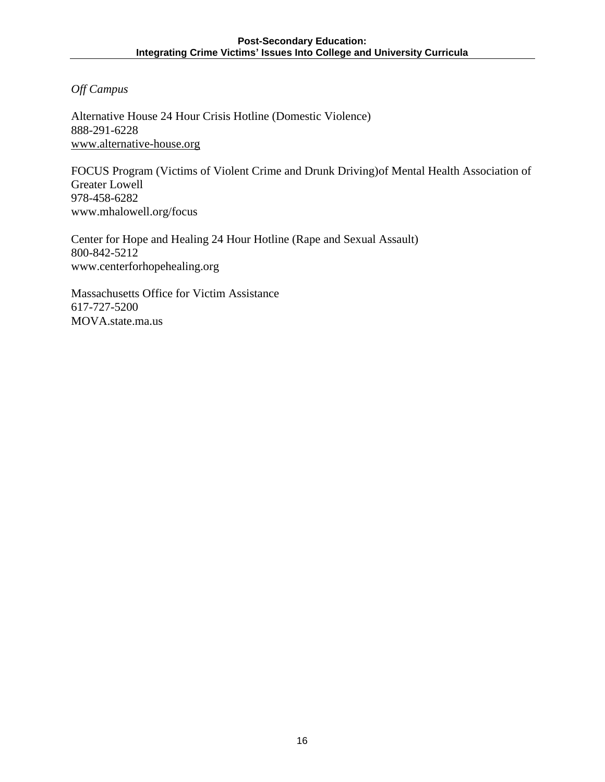*Off Campus* 

Alternative House 24 Hour Crisis Hotline (Domestic Violence) 888-291-6228 [www.alternative-house.org](http://www.alternative-house.org/)

FOCUS Program (Victims of Violent Crime and Drunk Driving)of Mental Health Association of Greater Lowell 978-458-6282 www.mhalowell.org/focus

Center for Hope and Healing 24 Hour Hotline (Rape and Sexual Assault) 800-842-5212 www.centerforhopehealing.org

Massachusetts Office for Victim Assistance 617-727-5200 MOVA.state.ma.us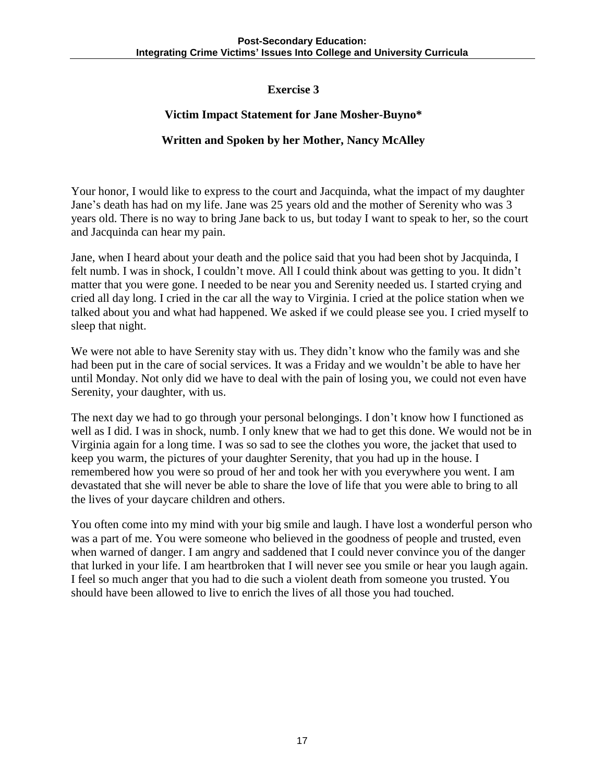#### **Victim Impact Statement for Jane Mosher-Buyno\***

#### **Written and Spoken by her Mother, Nancy McAlley**

Your honor, I would like to express to the court and Jacquinda, what the impact of my daughter Jane's death has had on my life. Jane was 25 years old and the mother of Serenity who was 3 years old. There is no way to bring Jane back to us, but today I want to speak to her, so the court and Jacquinda can hear my pain.

Jane, when I heard about your death and the police said that you had been shot by Jacquinda, I felt numb. I was in shock, I couldn't move. All I could think about was getting to you. It didn't matter that you were gone. I needed to be near you and Serenity needed us. I started crying and cried all day long. I cried in the car all the way to Virginia. I cried at the police station when we talked about you and what had happened. We asked if we could please see you. I cried myself to sleep that night.

We were not able to have Serenity stay with us. They didn't know who the family was and she had been put in the care of social services. It was a Friday and we wouldn't be able to have her until Monday. Not only did we have to deal with the pain of losing you, we could not even have Serenity, your daughter, with us.

The next day we had to go through your personal belongings. I don't know how I functioned as well as I did. I was in shock, numb. I only knew that we had to get this done. We would not be in Virginia again for a long time. I was so sad to see the clothes you wore, the jacket that used to keep you warm, the pictures of your daughter Serenity, that you had up in the house. I remembered how you were so proud of her and took her with you everywhere you went. I am devastated that she will never be able to share the love of life that you were able to bring to all the lives of your daycare children and others.

You often come into my mind with your big smile and laugh. I have lost a wonderful person who was a part of me. You were someone who believed in the goodness of people and trusted, even when warned of danger. I am angry and saddened that I could never convince you of the danger that lurked in your life. I am heartbroken that I will never see you smile or hear you laugh again. I feel so much anger that you had to die such a violent death from someone you trusted. You should have been allowed to live to enrich the lives of all those you had touched.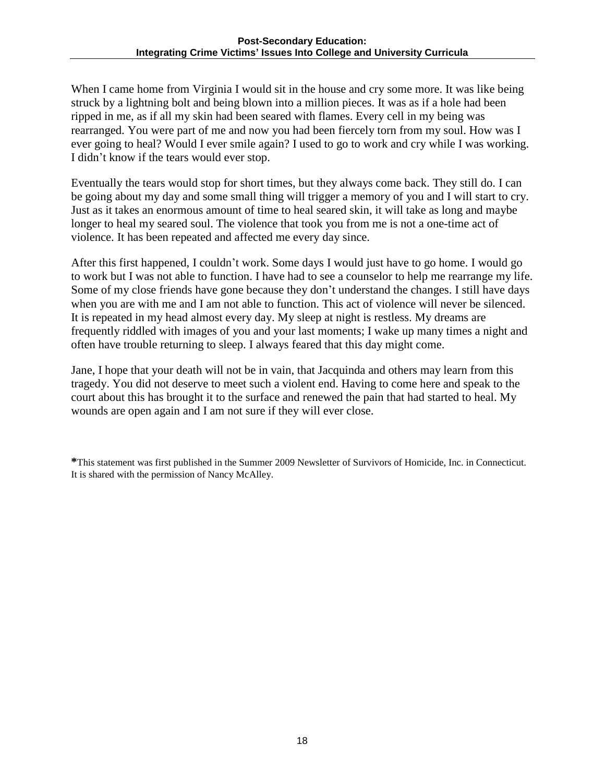When I came home from Virginia I would sit in the house and cry some more. It was like being struck by a lightning bolt and being blown into a million pieces. It was as if a hole had been ripped in me, as if all my skin had been seared with flames. Every cell in my being was rearranged. You were part of me and now you had been fiercely torn from my soul. How was I ever going to heal? Would I ever smile again? I used to go to work and cry while I was working. I didn't know if the tears would ever stop.

Eventually the tears would stop for short times, but they always come back. They still do. I can be going about my day and some small thing will trigger a memory of you and I will start to cry. Just as it takes an enormous amount of time to heal seared skin, it will take as long and maybe longer to heal my seared soul. The violence that took you from me is not a one-time act of violence. It has been repeated and affected me every day since.

After this first happened, I couldn't work. Some days I would just have to go home. I would go to work but I was not able to function. I have had to see a counselor to help me rearrange my life. Some of my close friends have gone because they don't understand the changes. I still have days when you are with me and I am not able to function. This act of violence will never be silenced. It is repeated in my head almost every day. My sleep at night is restless. My dreams are frequently riddled with images of you and your last moments; I wake up many times a night and often have trouble returning to sleep. I always feared that this day might come.

Jane, I hope that your death will not be in vain, that Jacquinda and others may learn from this tragedy. You did not deserve to meet such a violent end. Having to come here and speak to the court about this has brought it to the surface and renewed the pain that had started to heal. My wounds are open again and I am not sure if they will ever close.

**\***This statement was first published in the Summer 2009 Newsletter of Survivors of Homicide, Inc. in Connecticut. It is shared with the permission of Nancy McAlley.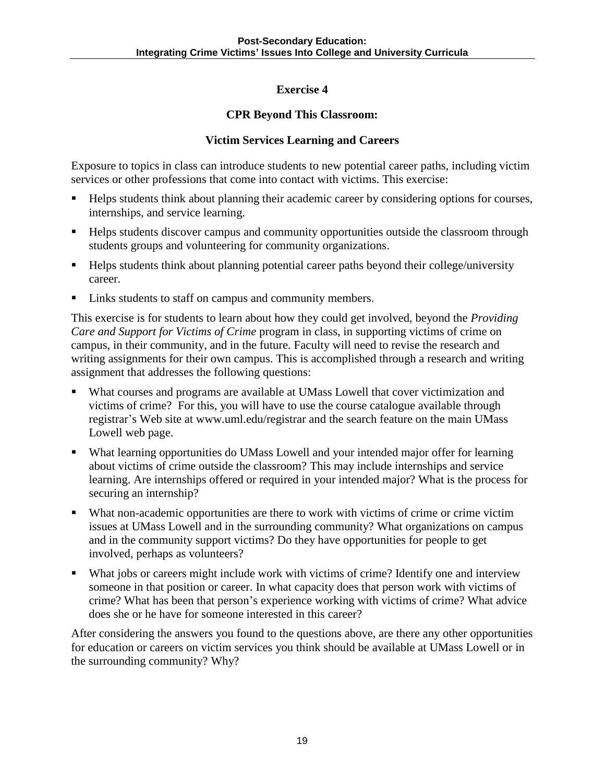#### **CPR Beyond This Classroom:**

#### **Victim Services Learning and Careers**

Exposure to topics in class can introduce students to new potential career paths, including victim services or other professions that come into contact with victims. This exercise:

- Helps students think about planning their academic career by considering options for courses, internships, and service learning.
- Helps students discover campus and community opportunities outside the classroom through students groups and volunteering for community organizations.
- Helps students think about planning potential career paths beyond their college/university career.
- Links students to staff on campus and community members.

This exercise is for students to learn about how they could get involved, beyond the *Providing Care and Support for Victims of Crime* program in class, in supporting victims of crime on campus, in their community, and in the future. Faculty will need to revise the research and writing assignments for their own campus. This is accomplished through a research and writing assignment that addresses the following questions:

- What courses and programs are available at UMass Lowell that cover victimization and victims of crime? For this, you will have to use the course catalogue available through registrar's Web site at www.uml.edu/registrar and the search feature on the main UMass Lowell web page.
- What learning opportunities do UMass Lowell and your intended major offer for learning about victims of crime outside the classroom? This may include internships and service learning. Are internships offered or required in your intended major? What is the process for securing an internship?
- What non-academic opportunities are there to work with victims of crime or crime victim issues at UMass Lowell and in the surrounding community? What organizations on campus and in the community support victims? Do they have opportunities for people to get involved, perhaps as volunteers?
- What jobs or careers might include work with victims of crime? Identify one and interview someone in that position or career. In what capacity does that person work with victims of crime? What has been that person's experience working with victims of crime? What advice does she or he have for someone interested in this career?

After considering the answers you found to the questions above, are there any other opportunities for education or careers on victim services you think should be available at UMass Lowell or in the surrounding community? Why?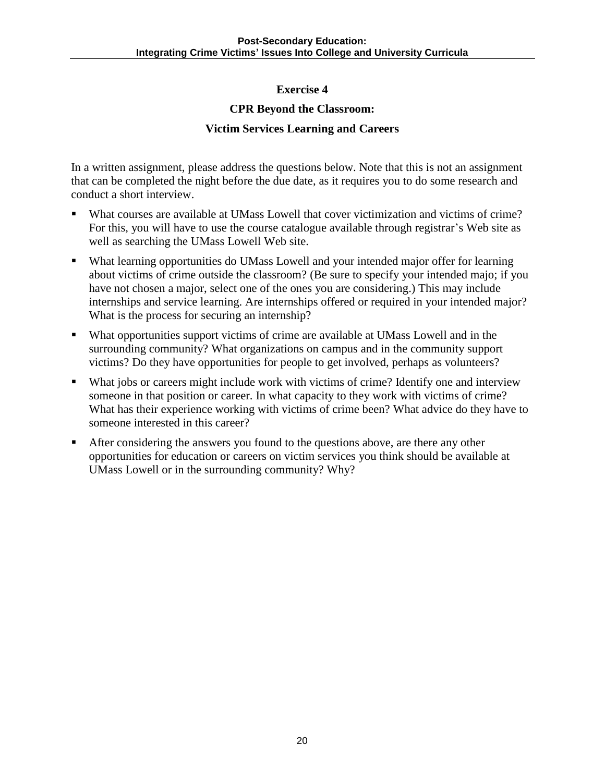#### **CPR Beyond the Classroom:**

#### **Victim Services Learning and Careers**

In a written assignment, please address the questions below. Note that this is not an assignment that can be completed the night before the due date, as it requires you to do some research and conduct a short interview.

- What courses are available at UMass Lowell that cover victimization and victims of crime? For this, you will have to use the course catalogue available through registrar's Web site as well as searching the UMass Lowell Web site.
- What learning opportunities do UMass Lowell and your intended major offer for learning about victims of crime outside the classroom? (Be sure to specify your intended majo; if you have not chosen a major, select one of the ones you are considering.) This may include internships and service learning. Are internships offered or required in your intended major? What is the process for securing an internship?
- What opportunities support victims of crime are available at UMass Lowell and in the surrounding community? What organizations on campus and in the community support victims? Do they have opportunities for people to get involved, perhaps as volunteers?
- What jobs or careers might include work with victims of crime? Identify one and interview someone in that position or career. In what capacity to they work with victims of crime? What has their experience working with victims of crime been? What advice do they have to someone interested in this career?
- After considering the answers you found to the questions above, are there any other opportunities for education or careers on victim services you think should be available at UMass Lowell or in the surrounding community? Why?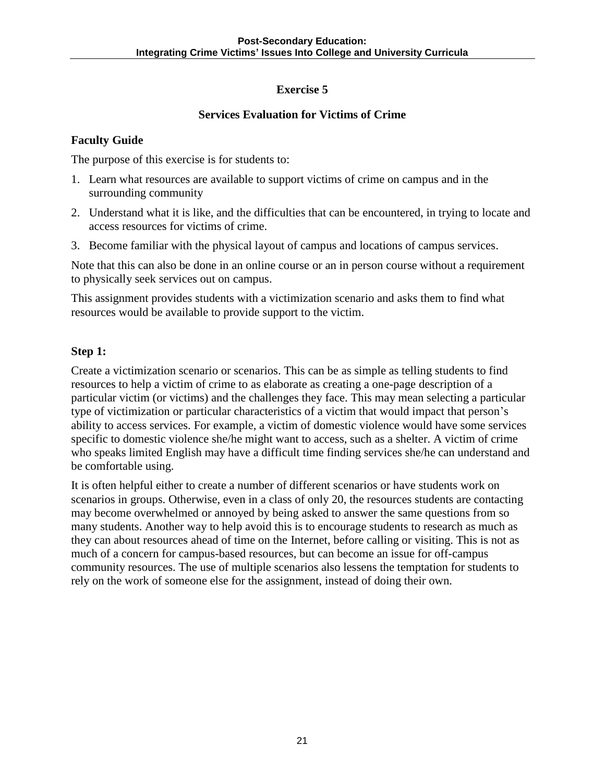### **Services Evaluation for Victims of Crime**

#### **Faculty Guide**

The purpose of this exercise is for students to:

- 1. Learn what resources are available to support victims of crime on campus and in the surrounding community
- 2. Understand what it is like, and the difficulties that can be encountered, in trying to locate and access resources for victims of crime.
- 3. Become familiar with the physical layout of campus and locations of campus services.

Note that this can also be done in an online course or an in person course without a requirement to physically seek services out on campus.

This assignment provides students with a victimization scenario and asks them to find what resources would be available to provide support to the victim.

#### **Step 1:**

Create a victimization scenario or scenarios. This can be as simple as telling students to find resources to help a victim of crime to as elaborate as creating a one-page description of a particular victim (or victims) and the challenges they face. This may mean selecting a particular type of victimization or particular characteristics of a victim that would impact that person's ability to access services. For example, a victim of domestic violence would have some services specific to domestic violence she/he might want to access, such as a shelter. A victim of crime who speaks limited English may have a difficult time finding services she/he can understand and be comfortable using.

It is often helpful either to create a number of different scenarios or have students work on scenarios in groups. Otherwise, even in a class of only 20, the resources students are contacting may become overwhelmed or annoyed by being asked to answer the same questions from so many students. Another way to help avoid this is to encourage students to research as much as they can about resources ahead of time on the Internet, before calling or visiting. This is not as much of a concern for campus-based resources, but can become an issue for off-campus community resources. The use of multiple scenarios also lessens the temptation for students to rely on the work of someone else for the assignment, instead of doing their own.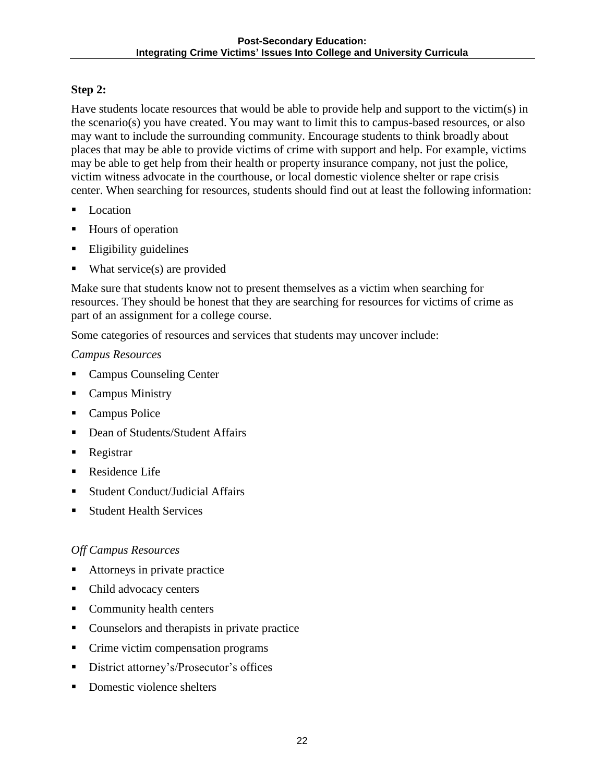### **Step 2:**

Have students locate resources that would be able to provide help and support to the victim(s) in the scenario(s) you have created. You may want to limit this to campus-based resources, or also may want to include the surrounding community. Encourage students to think broadly about places that may be able to provide victims of crime with support and help. For example, victims may be able to get help from their health or property insurance company, not just the police, victim witness advocate in the courthouse, or local domestic violence shelter or rape crisis center. When searching for resources, students should find out at least the following information:

- **Location**
- Hours of operation
- **Eligibility guidelines**
- What service(s) are provided

Make sure that students know not to present themselves as a victim when searching for resources. They should be honest that they are searching for resources for victims of crime as part of an assignment for a college course.

Some categories of resources and services that students may uncover include:

#### *Campus Resources*

- **Campus Counseling Center**
- Campus Ministry
- Campus Police
- Dean of Students/Student Affairs
- Registrar
- Residence Life
- Student Conduct/Judicial Affairs
- Student Health Services

#### *Off Campus Resources*

- Attorneys in private practice
- Child advocacy centers
- Community health centers
- Counselors and therapists in private practice
- Crime victim compensation programs
- **District attorney's/Prosecutor's offices**
- Domestic violence shelters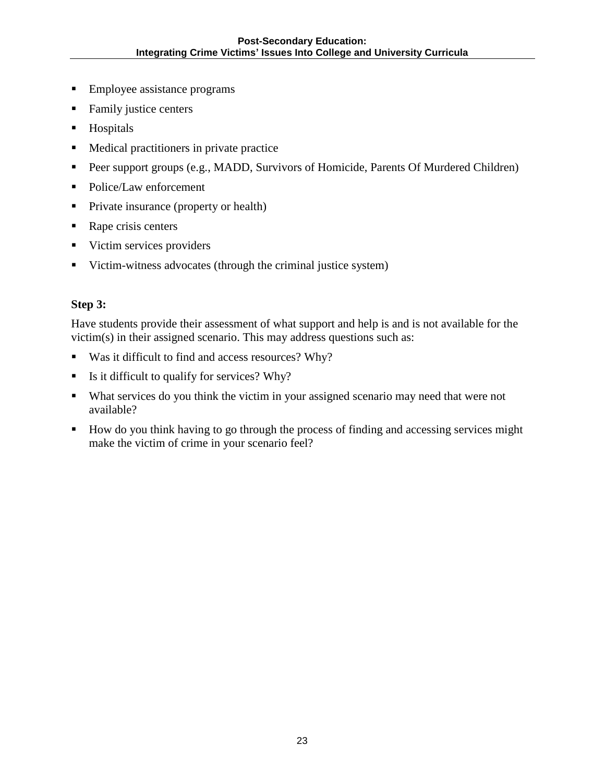- **Employee assistance programs**
- Family justice centers
- **Hospitals**
- Medical practitioners in private practice
- **Peer support groups (e.g., MADD, Survivors of Homicide, Parents Of Murdered Children)**
- Police/Law enforcement
- **Private insurance (property or health)**
- Rape crisis centers
- **Victim services providers**
- Victim-witness advocates (through the criminal justice system)

#### **Step 3:**

Have students provide their assessment of what support and help is and is not available for the victim(s) in their assigned scenario. This may address questions such as:

- Was it difficult to find and access resources? Why?
- Is it difficult to qualify for services? Why?
- What services do you think the victim in your assigned scenario may need that were not available?
- How do you think having to go through the process of finding and accessing services might make the victim of crime in your scenario feel?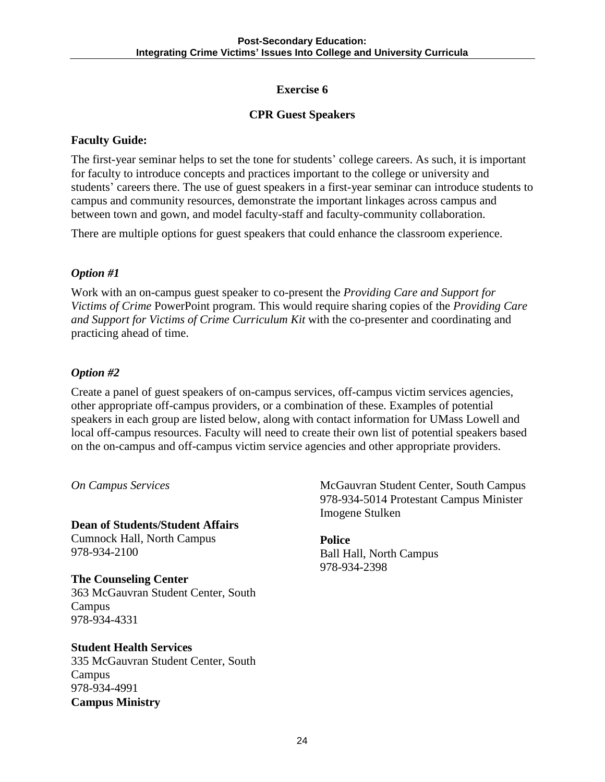### **CPR Guest Speakers**

#### **Faculty Guide:**

The first-year seminar helps to set the tone for students' college careers. As such, it is important for faculty to introduce concepts and practices important to the college or university and students' careers there. The use of guest speakers in a first-year seminar can introduce students to campus and community resources, demonstrate the important linkages across campus and between town and gown, and model faculty-staff and faculty-community collaboration.

There are multiple options for guest speakers that could enhance the classroom experience.

### *Option #1*

Work with an on-campus guest speaker to co-present the *Providing Care and Support for Victims of Crime* PowerPoint program. This would require sharing copies of the *Providing Care and Support for Victims of Crime Curriculum Kit* with the co-presenter and coordinating and practicing ahead of time.

### *Option #2*

Create a panel of guest speakers of on-campus services, off-campus victim services agencies, other appropriate off-campus providers, or a combination of these. Examples of potential speakers in each group are listed below, along with contact information for UMass Lowell and local off-campus resources. Faculty will need to create their own list of potential speakers based on the on-campus and off-campus victim service agencies and other appropriate providers.

*On Campus Services* 

**Dean of Students/Student Affairs**  Cumnock Hall, North Campus 978-934-2100

**The Counseling Center**  363 McGauvran Student Center, South Campus 978-934-4331

### **Student Health Services**

335 McGauvran Student Center, South Campus 978-934-4991 **Campus Ministry** 

McGauvran Student Center, South Campus 978-934-5014 Protestant Campus Minister Imogene Stulken

**Police**  Ball Hall, North Campus 978-934-2398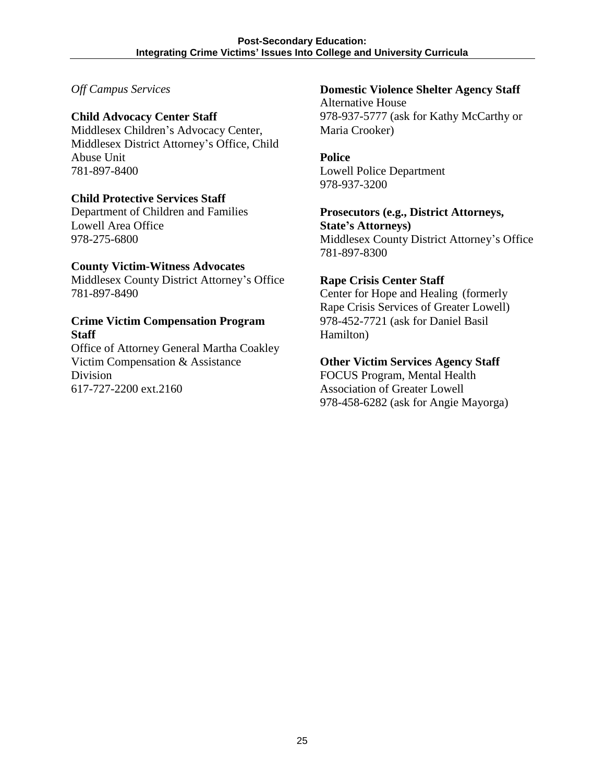#### *Off Campus Services*

#### **Child Advocacy Center Staff**

Middlesex Children's Advocacy Center, Middlesex District Attorney's Office, Child Abuse Unit 781-897-8400

#### **Child Protective Services Staff**

Department of Children and Families Lowell Area Office 978-275-6800

#### **County Victim-Witness Advocates**

Middlesex County District Attorney's Office 781-897-8490

#### **Crime Victim Compensation Program Staff**

Office of Attorney General Martha Coakley Victim Compensation & Assistance Division 617-727-2200 ext.2160

### **Domestic Violence Shelter Agency Staff**

Alternative House 978-937-5777 (ask for Kathy McCarthy or Maria Crooker)

#### **Police**

Lowell Police Department 978-937-3200

## **Prosecutors (e.g., District Attorneys, State's Attorneys)**

Middlesex County District Attorney's Office 781-897-8300

#### **Rape Crisis Center Staff**

Center for Hope and Healing (formerly Rape Crisis Services of Greater Lowell) 978-452-7721 (ask for Daniel Basil Hamilton)

#### **Other Victim Services Agency Staff**

FOCUS Program, Mental Health Association of Greater Lowell 978-458-6282 (ask for Angie Mayorga)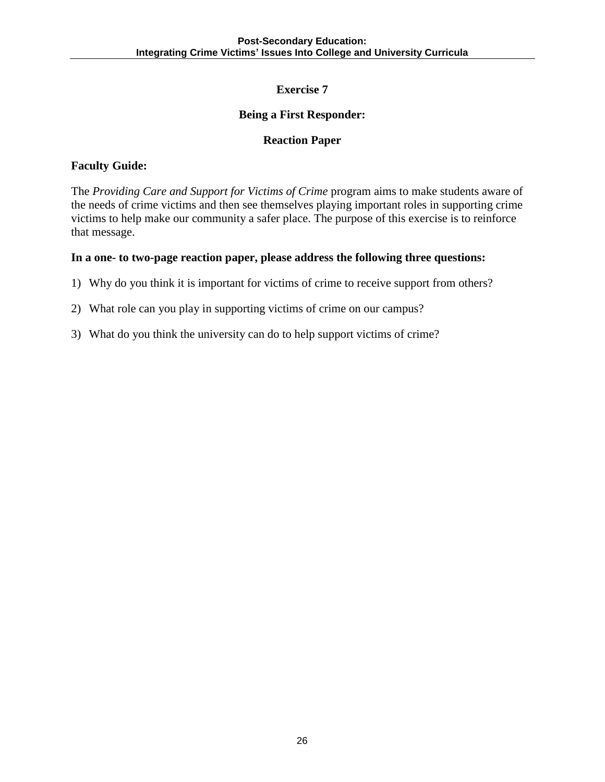#### **Being a First Responder:**

#### **Reaction Paper**

#### **Faculty Guide:**

The *Providing Care and Support for Victims of Crime* program aims to make students aware of the needs of crime victims and then see themselves playing important roles in supporting crime victims to help make our community a safer place. The purpose of this exercise is to reinforce that message.

#### **In a one- to two-page reaction paper, please address the following three questions:**

- 1) Why do you think it is important for victims of crime to receive support from others?
- 2) What role can you play in supporting victims of crime on our campus?
- 3) What do you think the university can do to help support victims of crime?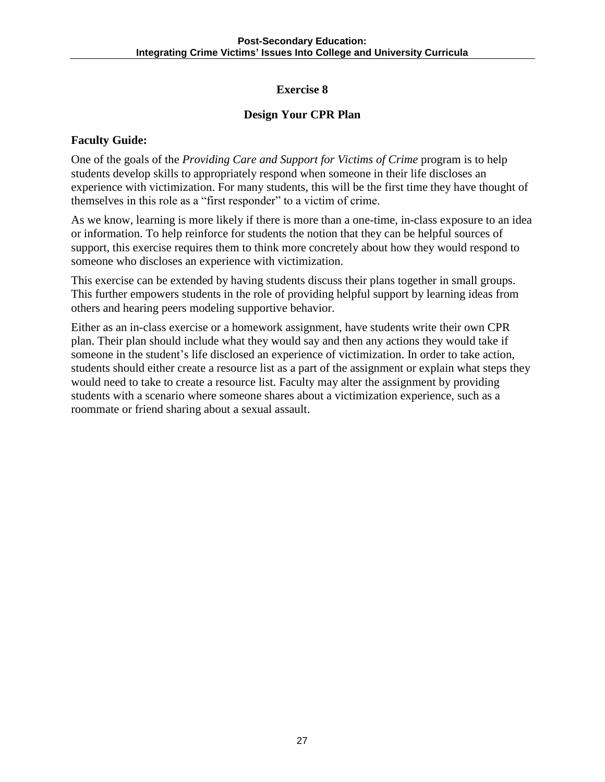#### **Design Your CPR Plan**

#### **Faculty Guide:**

One of the goals of the *Providing Care and Support for Victims of Crime* program is to help students develop skills to appropriately respond when someone in their life discloses an experience with victimization. For many students, this will be the first time they have thought of themselves in this role as a "first responder" to a victim of crime.

As we know, learning is more likely if there is more than a one-time, in-class exposure to an idea or information. To help reinforce for students the notion that they can be helpful sources of support, this exercise requires them to think more concretely about how they would respond to someone who discloses an experience with victimization.

This exercise can be extended by having students discuss their plans together in small groups. This further empowers students in the role of providing helpful support by learning ideas from others and hearing peers modeling supportive behavior.

Either as an in-class exercise or a homework assignment, have students write their own CPR plan. Their plan should include what they would say and then any actions they would take if someone in the student's life disclosed an experience of victimization. In order to take action, students should either create a resource list as a part of the assignment or explain what steps they would need to take to create a resource list. Faculty may alter the assignment by providing students with a scenario where someone shares about a victimization experience, such as a roommate or friend sharing about a sexual assault.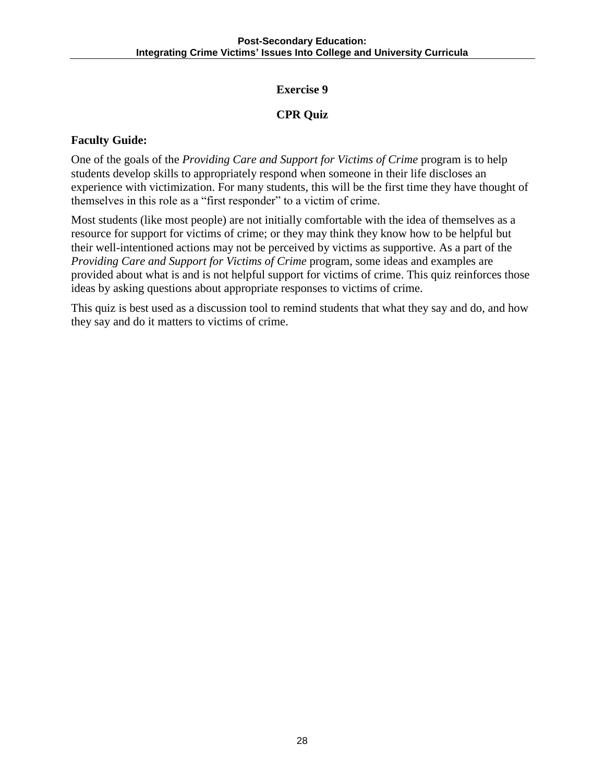### **CPR Quiz**

#### **Faculty Guide:**

One of the goals of the *Providing Care and Support for Victims of Crime* program is to help students develop skills to appropriately respond when someone in their life discloses an experience with victimization. For many students, this will be the first time they have thought of themselves in this role as a "first responder" to a victim of crime.

Most students (like most people) are not initially comfortable with the idea of themselves as a resource for support for victims of crime; or they may think they know how to be helpful but their well-intentioned actions may not be perceived by victims as supportive. As a part of the *Providing Care and Support for Victims of Crime* program, some ideas and examples are provided about what is and is not helpful support for victims of crime. This quiz reinforces those ideas by asking questions about appropriate responses to victims of crime.

This quiz is best used as a discussion tool to remind students that what they say and do, and how they say and do it matters to victims of crime.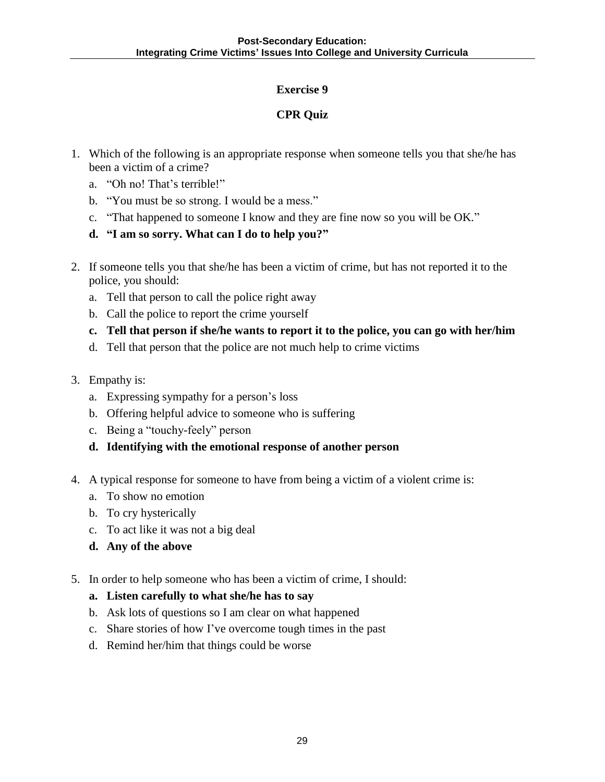### **CPR Quiz**

- 1. Which of the following is an appropriate response when someone tells you that she/he has been a victim of a crime?
	- a. "Oh no! That's terrible!"
	- b. "You must be so strong. I would be a mess."
	- c. "That happened to someone I know and they are fine now so you will be OK."
	- **d. "I am so sorry. What can I do to help you?"**
- 2. If someone tells you that she/he has been a victim of crime, but has not reported it to the police, you should:
	- a. Tell that person to call the police right away
	- b. Call the police to report the crime yourself
	- **c. Tell that person if she/he wants to report it to the police, you can go with her/him**
	- d. Tell that person that the police are not much help to crime victims
- 3. Empathy is:
	- a. Expressing sympathy for a person's loss
	- b. Offering helpful advice to someone who is suffering
	- c. Being a "touchy-feely" person
	- **d. Identifying with the emotional response of another person**
- 4. A typical response for someone to have from being a victim of a violent crime is:
	- a. To show no emotion
	- b. To cry hysterically
	- c. To act like it was not a big deal
	- **d. Any of the above**
- 5. In order to help someone who has been a victim of crime, I should:
	- **a. Listen carefully to what she/he has to say**
	- b. Ask lots of questions so I am clear on what happened
	- c. Share stories of how I've overcome tough times in the past
	- d. Remind her/him that things could be worse